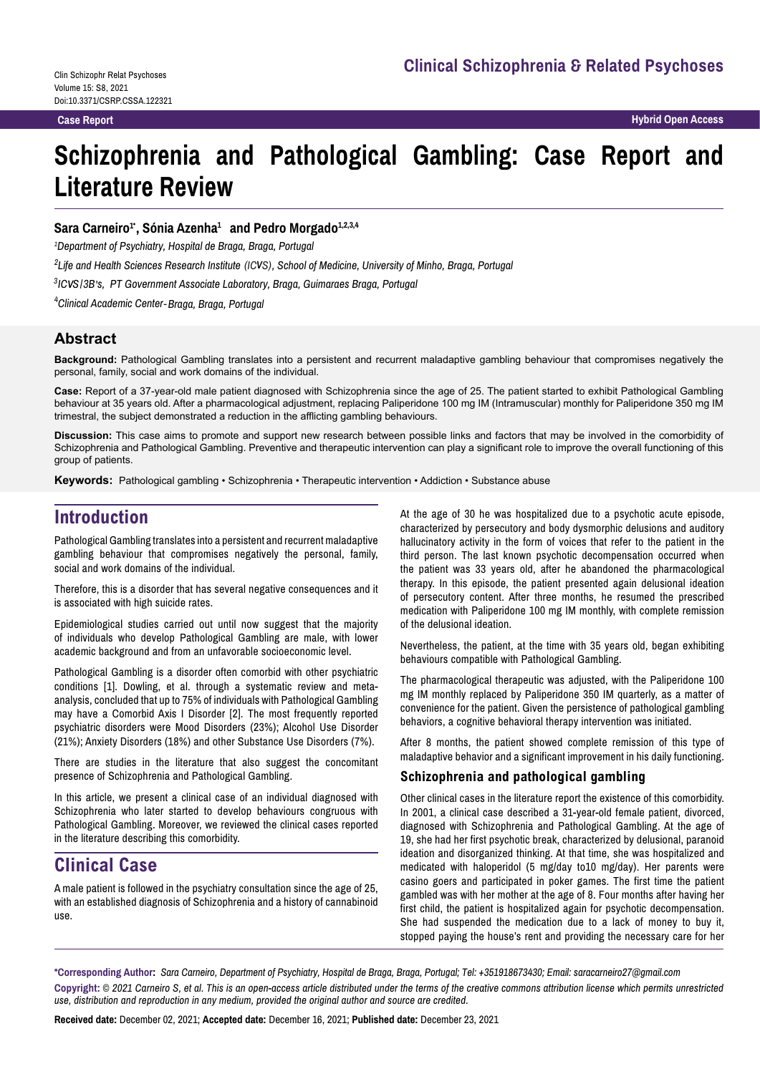**Case Report Hybrid Open Access**

# **Schizophrenia and Pathological Gambling: Case Report and Literature Review**

#### $\mathbf S$ ara Carneiro<sup>1</sup>\*, Sónia Azenha<sup>1</sup> and Pedro Morgado<sup>1,2,3,4</sup>

*1 Department of Psychiatry, Hospital de Braga, Braga, Portugal*

 $^2$ Life and Health Sciences Research Institute (ICVS), School of Medicine, University of Minho, Braga, Portugal

<sup>3</sup>ICVS/3B's, PT Government Associate Laboratory, Braga, Guimaraes Braga, Portugal

*4 Clinical Academic Center* -*Braga, Braga, Portugal*

### **Abstract**

**Background:** Pathological Gambling translates into a persistent and recurrent maladaptive gambling behaviour that compromises negatively the personal, family, social and work domains of the individual.

**Case:** Report of a 37-year-old male patient diagnosed with Schizophrenia since the age of 25. The patient started to exhibit Pathological Gambling behaviour at 35 years old. After a pharmacological adjustment, replacing Paliperidone 100 mg IM (Intramuscular) monthly for Paliperidone 350 mg IM trimestral, the subject demonstrated a reduction in the afflicting gambling behaviours.

**Discussion:** This case aims to promote and support new research between possible links and factors that may be involved in the comorbidity of Schizophrenia and Pathological Gambling. Preventive and therapeutic intervention can play a significant role to improve the overall functioning of this group of patients.

**Keywords:** Pathological gambling • Schizophrenia • Therapeutic intervention • Addiction • Substance abuse

## **Introduction**

Pathological Gambling translates into a persistent and recurrent maladaptive gambling behaviour that compromises negatively the personal, family, social and work domains of the individual.

Therefore, this is a disorder that has several negative consequences and it is associated with high suicide rates.

Epidemiological studies carried out until now suggest that the majority of individuals who develop Pathological Gambling are male, with lower academic background and from an unfavorable socioeconomic level.

Pathological Gambling is a disorder often comorbid with other psychiatric conditions [1]. Dowling, et al. through a systematic review and metaanalysis, concluded that up to 75% of individuals with Pathological Gambling may have a Comorbid Axis I Disorder [2]. The most frequently reported psychiatric disorders were Mood Disorders (23%); Alcohol Use Disorder (21%); Anxiety Disorders (18%) and other Substance Use Disorders (7%).

There are studies in the literature that also suggest the concomitant presence of Schizophrenia and Pathological Gambling.

In this article, we present a clinical case of an individual diagnosed with Schizophrenia who later started to develop behaviours congruous with Pathological Gambling. Moreover, we reviewed the clinical cases reported in the literature describing this comorbidity.

# **Clinical Case**

A male patient is followed in the psychiatry consultation since the age of 25, with an established diagnosis of Schizophrenia and a history of cannabinoid use.

At the age of 30 he was hospitalized due to a psychotic acute episode, characterized by persecutory and body dysmorphic delusions and auditory hallucinatory activity in the form of voices that refer to the patient in the third person. The last known psychotic decompensation occurred when the patient was 33 years old, after he abandoned the pharmacological therapy. In this episode, the patient presented again delusional ideation of persecutory content. After three months, he resumed the prescribed medication with Paliperidone 100 mg IM monthly, with complete remission of the delusional ideation.

Nevertheless, the patient, at the time with 35 years old, began exhibiting behaviours compatible with Pathological Gambling.

The pharmacological therapeutic was adjusted, with the Paliperidone 100 mg IM monthly replaced by Paliperidone 350 IM quarterly, as a matter of convenience for the patient. Given the persistence of pathological gambling behaviors, a cognitive behavioral therapy intervention was initiated.

After 8 months, the patient showed complete remission of this type of maladaptive behavior and a significant improvement in his daily functioning.

#### **Schizophrenia and pathological gambling**

Other clinical cases in the literature report the existence of this comorbidity. In 2001, a clinical case described a 31-year-old female patient, divorced, diagnosed with Schizophrenia and Pathological Gambling. At the age of 19, she had her first psychotic break, characterized by delusional, paranoid ideation and disorganized thinking. At that time, she was hospitalized and medicated with haloperidol (5 mg/day to10 mg/day). Her parents were casino goers and participated in poker games. The first time the patient gambled was with her mother at the age of 8. Four months after having her first child, the patient is hospitalized again for psychotic decompensation. She had suspended the medication due to a lack of money to buy it, stopped paying the house's rent and providing the necessary care for her

**\*Corresponding Author:** *Sara Carneiro, Department of Psychiatry, Hospital de Braga, Braga, Portugal; Tel: +351918673430; Email: saracarneiro27@gmail.com* **Copyright:** *© 2021 Carneiro S, et al. This is an open-access article distributed under the terms of the creative commons attribution license which permits unrestricted use, distribution and reproduction in any medium, provided the original author and source are credited.*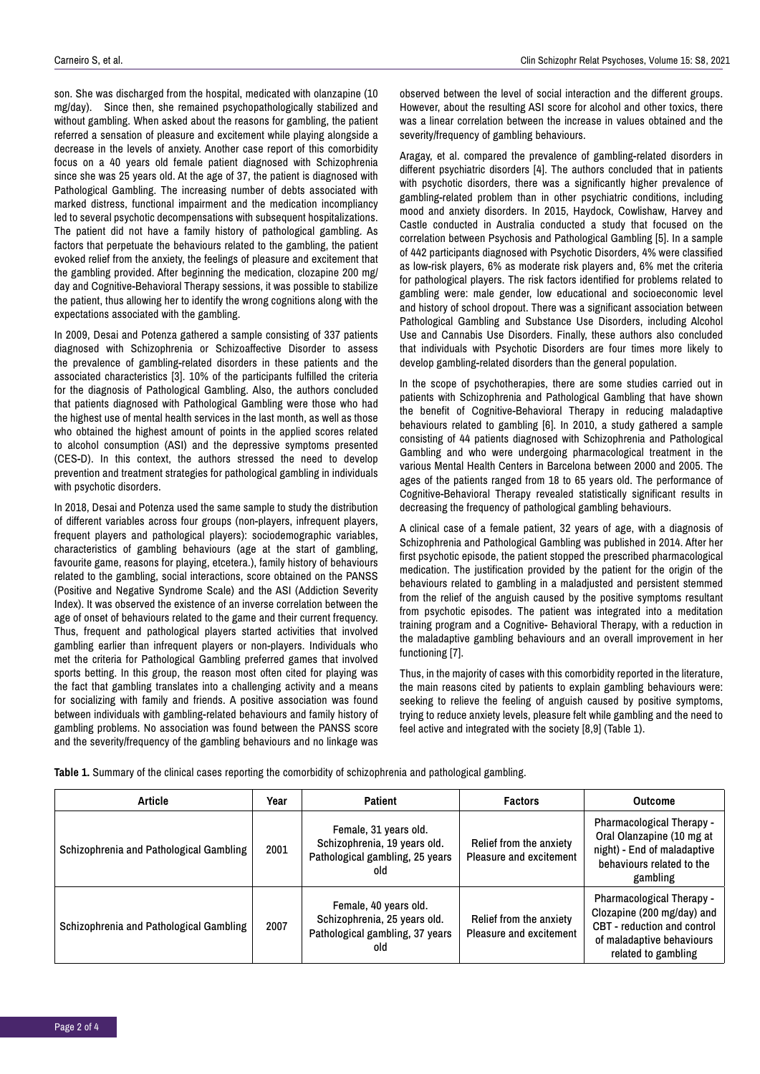son. She was discharged from the hospital, medicated with olanzapine (10) mg/day). Since then, she remained psychopathologically stabilized and without gambling. When asked about the reasons for gambling, the patient referred a sensation of pleasure and excitement while playing alongside a decrease in the levels of anxiety. Another case report of this comorbidity focus on a 40 years old female patient diagnosed with Schizophrenia since she was 25 years old. At the age of 37, the patient is diagnosed with Pathological Gambling. The increasing number of debts associated with marked distress, functional impairment and the medication incompliancy led to several psychotic decompensations with subsequent hospitalizations. The patient did not have a family history of pathological gambling. As factors that perpetuate the behaviours related to the gambling, the patient evoked relief from the anxiety, the feelings of pleasure and excitement that the gambling provided. After beginning the medication, clozapine 200 mg/ day and Cognitive-Behavioral Therapy sessions, it was possible to stabilize the patient, thus allowing her to identify the wrong cognitions along with the expectations associated with the gambling.

In 2009, Desai and Potenza gathered a sample consisting of 337 patients diagnosed with Schizophrenia or Schizoaffective Disorder to assess the prevalence of gambling-related disorders in these patients and the associated characteristics [3]. 10% of the participants fulfilled the criteria for the diagnosis of Pathological Gambling. Also, the authors concluded that patients diagnosed with Pathological Gambling were those who had the highest use of mental health services in the last month, as well as those who obtained the highest amount of points in the applied scores related to alcohol consumption (ASI) and the depressive symptoms presented (CES-D). In this context, the authors stressed the need to develop prevention and treatment strategies for pathological gambling in individuals with psychotic disorders.

In 2018, Desai and Potenza used the same sample to study the distribution of different variables across four groups (non-players, infrequent players, frequent players and pathological players): sociodemographic variables, characteristics of gambling behaviours (age at the start of gambling, favourite game, reasons for playing, etcetera.), family history of behaviours related to the gambling, social interactions, score obtained on the PANSS (Positive and Negative Syndrome Scale) and the ASI (Addiction Severity Index). It was observed the existence of an inverse correlation between the age of onset of behaviours related to the game and their current frequency. Thus, frequent and pathological players started activities that involved gambling earlier than infrequent players or non-players. Individuals who met the criteria for Pathological Gambling preferred games that involved sports betting. In this group, the reason most often cited for playing was the fact that gambling translates into a challenging activity and a means for socializing with family and friends. A positive association was found between individuals with gambling-related behaviours and family history of gambling problems. No association was found between the PANSS score and the severity/frequency of the gambling behaviours and no linkage was

observed between the level of social interaction and the different groups. However, about the resulting ASI score for alcohol and other toxics, there was a linear correlation between the increase in values obtained and the severity/frequency of gambling behaviours.

Aragay, et al. compared the prevalence of gambling-related disorders in different psychiatric disorders [4]. The authors concluded that in patients with psychotic disorders, there was a significantly higher prevalence of gambling-related problem than in other psychiatric conditions, including mood and anxiety disorders. In 2015, Haydock, Cowlishaw, Harvey and Castle conducted in Australia conducted a study that focused on the correlation between Psychosis and Pathological Gambling [5]. In a sample of 442 participants diagnosed with Psychotic Disorders, 4% were classified as low-risk players, 6% as moderate risk players and, 6% met the criteria for pathological players. The risk factors identified for problems related to gambling were: male gender, low educational and socioeconomic level and history of school dropout. There was a significant association between Pathological Gambling and Substance Use Disorders, including Alcohol Use and Cannabis Use Disorders. Finally, these authors also concluded that individuals with Psychotic Disorders are four times more likely to develop gambling-related disorders than the general population.

In the scope of psychotherapies, there are some studies carried out in patients with Schizophrenia and Pathological Gambling that have shown the benefit of Cognitive-Behavioral Therapy in reducing maladaptive behaviours related to gambling [6]. In 2010, a study gathered a sample consisting of 44 patients diagnosed with Schizophrenia and Pathological Gambling and who were undergoing pharmacological treatment in the various Mental Health Centers in Barcelona between 2000 and 2005. The ages of the patients ranged from 18 to 65 years old. The performance of Cognitive-Behavioral Therapy revealed statistically significant results in decreasing the frequency of pathological gambling behaviours.

A clinical case of a female patient, 32 years of age, with a diagnosis of Schizophrenia and Pathological Gambling was published in 2014. After her first psychotic episode, the patient stopped the prescribed pharmacological medication. The justification provided by the patient for the origin of the behaviours related to gambling in a maladjusted and persistent stemmed from the relief of the anguish caused by the positive symptoms resultant from psychotic episodes. The patient was integrated into a meditation training program and a Cognitive- Behavioral Therapy, with a reduction in the maladaptive gambling behaviours and an overall improvement in her functioning [7].

Thus, in the majority of cases with this comorbidity reported in the literature, the main reasons cited by patients to explain gambling behaviours were: seeking to relieve the feeling of anguish caused by positive symptoms, trying to reduce anxiety levels, pleasure felt while gambling and the need to feel active and integrated with the society [8,9] (Table 1).

**Table 1.** Summary of the clinical cases reporting the comorbidity of schizophrenia and pathological gambling.

| Article                                 | Year | <b>Patient</b>                                                                                  | <b>Factors</b>                                     | <b>Outcome</b>                                                                                                                             |
|-----------------------------------------|------|-------------------------------------------------------------------------------------------------|----------------------------------------------------|--------------------------------------------------------------------------------------------------------------------------------------------|
| Schizophrenia and Pathological Gambling | 2001 | Female, 31 years old.<br>Schizophrenia, 19 years old.<br>Pathological gambling, 25 years<br>hlo | Relief from the anxiety<br>Pleasure and excitement | <b>Pharmacological Therapy -</b><br>Oral Olanzapine (10 mg at<br>night) - End of maladaptive<br>behaviours related to the<br>gambling      |
| Schizophrenia and Pathological Gambling | 2007 | Female, 40 years old.<br>Schizophrenia, 25 years old.<br>Pathological gambling, 37 years<br>old | Relief from the anxiety<br>Pleasure and excitement | Pharmacological Therapy -<br>Clozapine (200 mg/day) and<br>CBT - reduction and control<br>of maladaptive behaviours<br>related to gambling |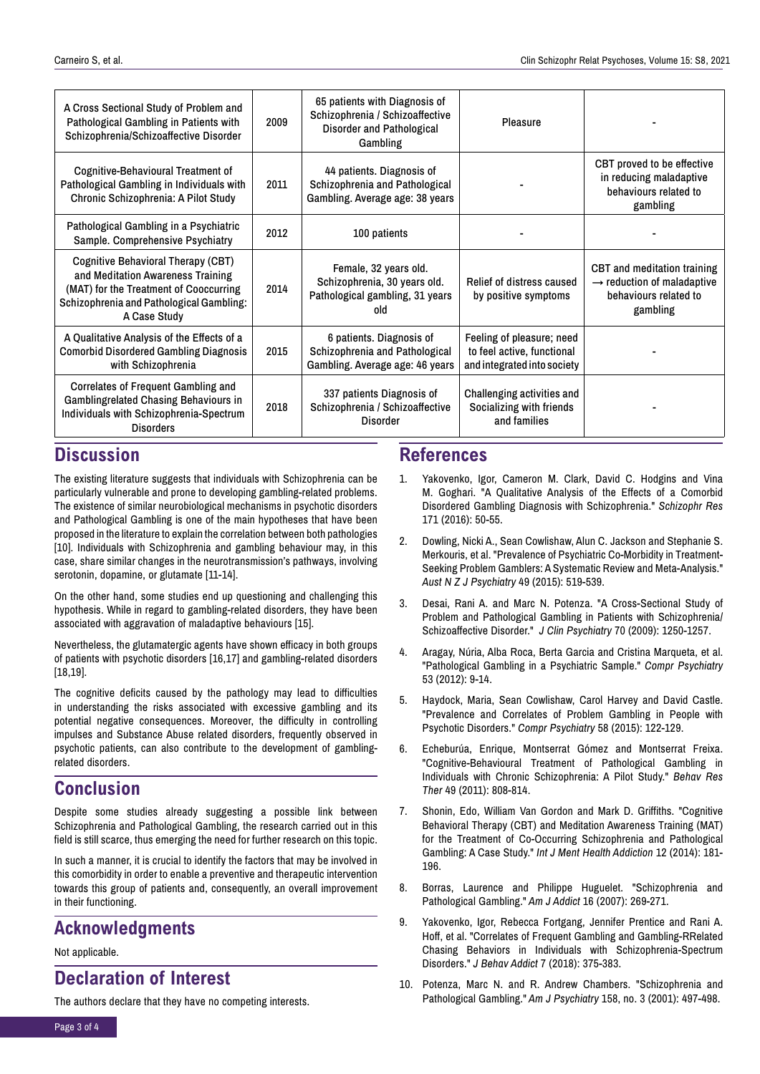| A Cross Sectional Study of Problem and<br>Pathological Gambling in Patients with<br>Schizophrenia/Schizoaffective Disorder                                                    | 2009 | 65 patients with Diagnosis of<br>Schizophrenia / Schizoaffective<br>Disorder and Pathological<br>Gambling | Pleasure                                                                               |                                                                                                            |
|-------------------------------------------------------------------------------------------------------------------------------------------------------------------------------|------|-----------------------------------------------------------------------------------------------------------|----------------------------------------------------------------------------------------|------------------------------------------------------------------------------------------------------------|
| Cognitive-Behavioural Treatment of<br>Pathological Gambling in Individuals with<br>Chronic Schizophrenia: A Pilot Study                                                       | 2011 | 44 patients. Diagnosis of<br>Schizophrenia and Pathological<br>Gambling. Average age: 38 years            |                                                                                        | CBT proved to be effective<br>in reducing maladaptive<br>behaviours related to<br>gambling                 |
| Pathological Gambling in a Psychiatric<br>Sample. Comprehensive Psychiatry                                                                                                    | 2012 | 100 patients                                                                                              |                                                                                        |                                                                                                            |
| Cognitive Behavioral Therapy (CBT)<br>and Meditation Awareness Training<br>(MAT) for the Treatment of Cooccurring<br>Schizophrenia and Pathological Gambling:<br>A Case Study | 2014 | Female, 32 years old.<br>Schizophrenia, 30 years old.<br>Pathological gambling, 31 years<br>old           | Relief of distress caused<br>by positive symptoms                                      | CBT and meditation training<br>$\rightarrow$ reduction of maladaptive<br>behaviours related to<br>gambling |
| A Qualitative Analysis of the Effects of a<br><b>Comorbid Disordered Gambling Diagnosis</b><br>with Schizophrenia                                                             | 2015 | 6 patients. Diagnosis of<br>Schizophrenia and Pathological<br>Gambling. Average age: 46 years             | Feeling of pleasure; need<br>to feel active, functional<br>and integrated into society |                                                                                                            |
| <b>Correlates of Frequent Gambling and</b><br><b>Gamblingrelated Chasing Behaviours in</b><br>Individuals with Schizophrenia-Spectrum<br><b>Disorders</b>                     | 2018 | 337 patients Diagnosis of<br>Schizophrenia / Schizoaffective<br>Disorder                                  | Challenging activities and<br>Socializing with friends<br>and families                 |                                                                                                            |

# **Discussion**

The existing literature suggests that individuals with Schizophrenia can be particularly vulnerable and prone to developing gambling-related problems. The existence of similar neurobiological mechanisms in psychotic disorders and Pathological Gambling is one of the main hypotheses that have been proposed in the literature to explain the correlation between both pathologies [10]. Individuals with Schizophrenia and gambling behaviour may, in this case, share similar changes in the neurotransmission's pathways, involving serotonin, dopamine, or glutamate [11-14].

On the other hand, some studies end up questioning and challenging this hypothesis. While in regard to gambling-related disorders, they have been associated with aggravation of maladaptive behaviours [15].

Nevertheless, the glutamatergic agents have shown efficacy in both groups of patients with psychotic disorders [16,17] and gambling-related disorders [18,19].

The cognitive deficits caused by the pathology may lead to difficulties in understanding the risks associated with excessive gambling and its potential negative consequences. Moreover, the difficulty in controlling impulses and Substance Abuse related disorders, frequently observed in psychotic patients, can also contribute to the development of gamblingrelated disorders.

## **Conclusion**

Despite some studies already suggesting a possible link between Schizophrenia and Pathological Gambling, the research carried out in this field is still scarce, thus emerging the need for further research on this topic.

In such a manner, it is crucial to identify the factors that may be involved in this comorbidity in order to enable a preventive and therapeutic intervention towards this group of patients and, consequently, an overall improvement in their functioning.

# **Acknowledgments**

#### Not applicable.

### **Declaration of Interest**

The authors declare that they have no competing interests.

## **References**

- 1. Yakovenko, Igor, Cameron M. Clark, David C. Hodgins and Vina [M. Goghari. "A Qualitative Analysis of the Effects of a Comorbid](https://doi.org/10.1016/j.schres.2015.12.008)  Disordered Gambling Diagnosis with Schizophrenia." *Schizophr Res*  171 (2016): 50-55.
- 2. Dowling, Nicki A., Sean Cowlishaw, Alun C. Jackson and Stephanie S. Merkouris, et al. "Prevalence of Psychiatric Co-Morbidity in Treatment-[Seeking Problem Gamblers: A Systematic Review and Meta-Analysis."](https://doi.org/10.1177/0004867415575774)  *Aust N Z J Psychiatry* 49 (2015): 519-539.
- 3. [Desai, Rani A. and Marc N. Potenza. "A Cross-Sectional Study of](https://doi.org/10.4088/jcp.08m04359)  Problem and Pathological Gambling in Patients with Schizophrenia/ Schizoaffective Disorder." *J Clin Psychiatry* 70 (2009): 1250-1257.
- 4. [Aragay, Núria, Alba Roca, Berta Garcia and Cristina Marqueta, et al.](https://doi.org/10.1016/j.comppsych.2011.02.004)  "Pathological Gambling in a Psychiatric Sample." *Compr Psychiatry*  53 (2012): 9-14.
- 5. [Haydock, Maria, Sean Cowlishaw, Carol Harvey and David Castle.](https://doi.org/10.1016/j.comppsych.2015.01.003)  "Prevalence and Correlates of Problem Gambling in People with Psychotic Disorders." *Compr Psychiatry* 58 (2015): 122-129.
- 6. Echeburúa, Enrique, Montserrat Gómez and Montserrat Freixa. ["Cognitive-Behavioural Treatment of Pathological Gambling in](https://doi.org/10.1016/j.brat.2011.08.009)  Individuals with Chronic Schizophrenia: A Pilot Study." *Behav Res Ther* 49 (2011): 808-814.
- 7. Shonin, Edo, William Van Gordon and Mark D. Griffiths. "Cognitive Behavioral Therapy (CBT) and Meditation Awareness Training (MAT) [for the Treatment of Co-Occurring Schizophrenia and Pathological](https://doi.org/10.1007/s11469-019-00084-3)  Gambling: A Case Study." *Int J Ment Health Addiction* 12 (2014): 181- 196.
- 8. [Borras, Laurence and Philippe Huguelet. "Schizophrenia and](https://doi.org/10.1080/10550490701389765)  Pathological Gambling." *Am J Addict* 16 (2007): 269-271.
- 9. Yakovenko, Igor, Rebecca Fortgang, Jennifer Prentice and Rani A. Hoff, et al. "Correlates of Frequent Gambling and Gambling-RRelated [Chasing Behaviors in Individuals with Schizophrenia-Spectrum](https://doi.org/10.1556/2006.7.2018.31)  Disorders." *J Behav Addict* 7 (2018): 375-383.
- 10. [Potenza, Marc N. and R. Andrew Chambers. "Schizophrenia and](https://doi.org/10.1176/appi.ajp.158.3.497-a)  Pathological Gambling." *Am J Psychiatry* 158, no. 3 (2001): 497-498.